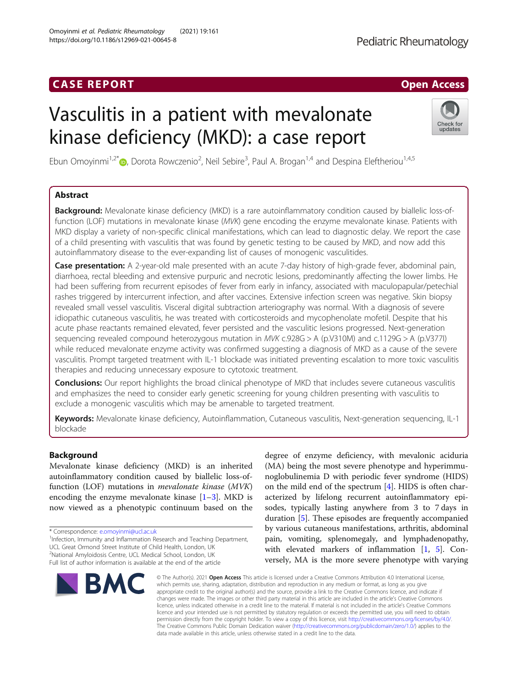Omoyinmi et al. Pediatric Rheumatology (2021) 19:161

https://doi.org/10.1186/s12969-021-00645-8

# Vasculitis in a patient with mevalonate kinase deficiency (MKD): a case report

Ebun Omoyinmi<sup>1[,](http://orcid.org/0000-0002-3042-3827)2\*</sup>®, Dorota Rowczenio<sup>2</sup>, Neil Sebire<sup>3</sup>, Paul A. Brogan<sup>1,4</sup> and Despina Eleftheriou<sup>1,4,5</sup>

# Abstract

Background: Mevalonate kinase deficiency (MKD) is a rare autoinflammatory condition caused by biallelic loss-offunction (LOF) mutations in mevalonate kinase (MVK) gene encoding the enzyme mevalonate kinase. Patients with MKD display a variety of non-specific clinical manifestations, which can lead to diagnostic delay. We report the case of a child presenting with vasculitis that was found by genetic testing to be caused by MKD, and now add this autoinflammatory disease to the ever-expanding list of causes of monogenic vasculitides.

Case presentation: A 2-year-old male presented with an acute 7-day history of high-grade fever, abdominal pain, diarrhoea, rectal bleeding and extensive purpuric and necrotic lesions, predominantly affecting the lower limbs. He had been suffering from recurrent episodes of fever from early in infancy, associated with maculopapular/petechial rashes triggered by intercurrent infection, and after vaccines. Extensive infection screen was negative. Skin biopsy revealed small vessel vasculitis. Visceral digital subtraction arteriography was normal. With a diagnosis of severe idiopathic cutaneous vasculitis, he was treated with corticosteroids and mycophenolate mofetil. Despite that his acute phase reactants remained elevated, fever persisted and the vasculitic lesions progressed. Next-generation sequencing revealed compound heterozygous mutation in MVK c.928G > A (p.V310M) and c.1129G > A (p.V377I) while reduced mevalonate enzyme activity was confirmed suggesting a diagnosis of MKD as a cause of the severe vasculitis. Prompt targeted treatment with IL-1 blockade was initiated preventing escalation to more toxic vasculitis therapies and reducing unnecessary exposure to cytotoxic treatment.

**Conclusions:** Our report highlights the broad clinical phenotype of MKD that includes severe cutaneous vasculitis and emphasizes the need to consider early genetic screening for young children presenting with vasculitis to exclude a monogenic vasculitis which may be amenable to targeted treatment.

Keywords: Mevalonate kinase deficiency, Autoinflammation, Cutaneous vasculitis, Next-generation sequencing, IL-1 blockade

data made available in this article, unless otherwise stated in a credit line to the data.

# Background

Mevalonate kinase deficiency (MKD) is an inherited autoinflammatory condition caused by biallelic loss-offunction (LOF) mutations in mevalonate kinase (MVK) encoding the enzyme mevalonate kinase  $[1-3]$  $[1-3]$  $[1-3]$  $[1-3]$  $[1-3]$ . MKD is now viewed as a phenotypic continuum based on the

<sup>1</sup>Infection, Immunity and Inflammation Research and Teaching Department, UCL Great Ormond Street Institute of Child Health, London, UK

<sup>2</sup>National Amyloidosis Centre, UCL Medical School, London, UK

duration [[5\]](#page-3-0). These episodes are frequently accompanied by various cutaneous manifestations, arthritis, abdominal pain, vomiting, splenomegaly, and lymphadenopathy, with elevated markers of inflammation [\[1](#page-3-0), [5\]](#page-3-0). Conversely, MA is the more severe phenotype with varying © The Author(s), 2021 **Open Access** This article is licensed under a Creative Commons Attribution 4.0 International License, which permits use, sharing, adaptation, distribution and reproduction in any medium or format, as long as you give appropriate credit to the original author(s) and the source, provide a link to the Creative Commons licence, and indicate if changes were made. The images or other third party material in this article are included in the article's Creative Commons licence, unless indicated otherwise in a credit line to the material. If material is not included in the article's Creative Commons licence and your intended use is not permitted by statutory regulation or exceeds the permitted use, you will need to obtain

permission directly from the copyright holder. To view a copy of this licence, visit [http://creativecommons.org/licenses/by/4.0/.](http://creativecommons.org/licenses/by/4.0/) The Creative Commons Public Domain Dedication waiver [\(http://creativecommons.org/publicdomain/zero/1.0/](http://creativecommons.org/publicdomain/zero/1.0/)) applies to the

degree of enzyme deficiency, with mevalonic aciduria (MA) being the most severe phenotype and hyperimmunoglobulinemia D with periodic fever syndrome (HIDS) on the mild end of the spectrum [[4\]](#page-3-0). HIDS is often characterized by lifelong recurrent autoinflammatory episodes, typically lasting anywhere from 3 to 7 days in







<sup>\*</sup> Correspondence: [e.omoyinmi@ucl.ac.uk](mailto:e.omoyinmi@ucl.ac.uk) <sup>1</sup>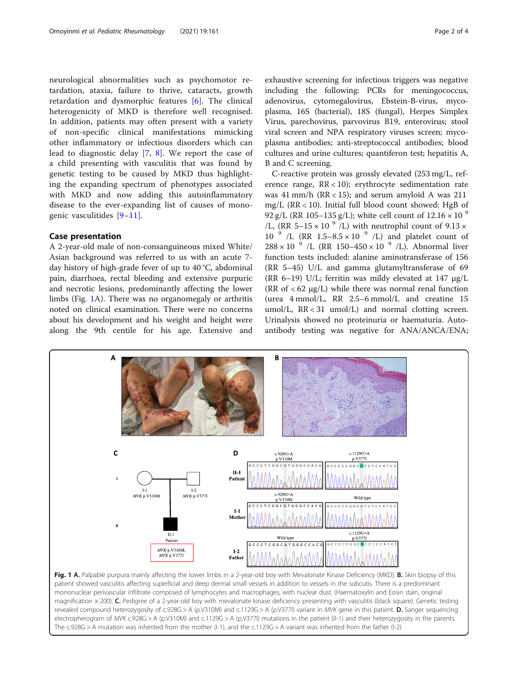<span id="page-1-0"></span>neurological abnormalities such as psychomotor retardation, ataxia, failure to thrive, cataracts, growth retardation and dysmorphic features [[6\]](#page-3-0). The clinical heterogenicity of MKD is therefore well recognised. In addition, patients may often present with a variety of non-specific clinical manifestations mimicking other inflammatory or infectious disorders which can lead to diagnostic delay [[7,](#page-3-0) [8\]](#page-3-0). We report the case of a child presenting with vasculitis that was found by genetic testing to be caused by MKD thus highlighting the expanding spectrum of phenotypes associated with MKD and now adding this autoinflammatory disease to the ever-expanding list of causes of monogenic vasculitides [\[9](#page-3-0)–[11](#page-3-0)].

# Case presentation

A 2-year-old male of non-consanguineous mixed White/ Asian background was referred to us with an acute 7 day history of high-grade fever of up to 40 °C, abdominal pain, diarrhoea, rectal bleeding and extensive purpuric and necrotic lesions, predominantly affecting the lower limbs (Fig. 1A). There was no organomegaly or arthritis noted on clinical examination. There were no concerns about his development and his weight and height were along the 9th centile for his age. Extensive and exhaustive screening for infectious triggers was negative including the following: PCRs for meningococcus, adenovirus, cytomegalovirus, Ebstein-B-virus, mycoplasma, 16S (bacterial), 18S (fungal), Herpes Simplex Virus, parechovirus, parvovirus B19, enterovirus; stool viral screen and NPA respiratory viruses screen; mycoplasma antibodies; anti-streptococcal antibodies; blood cultures and urine cultures; quantiferon test; hepatitis A, B and C screening.

C-reactive protein was grossly elevated (253 mg/L, reference range,  $RR < 10$ ); erythrocyte sedimentation rate was  $41$  mm/h (RR < 15); and serum amyloid A was  $211$ mg/L (RR < 10). Initial full blood count showed: HgB of 92 g/L (RR 105–135 g/L); white cell count of  $12.16 \times 10^{-9}$ /L, (RR 5–15  $\times$  10  $^{9}$  /L) with neutrophil count of 9.13  $\times$ 10  $\frac{9}{1}$  /L (RR 1.5–8.5 × 10  $\frac{9}{1}$  /L) and platelet count of  $288 \times 10^{-9}$  /L (RR 150-450  $\times$  10<sup>9</sup> /L). Abnormal liver function tests included: alanine aminotransferase of 156 (RR 5–45) U/L and gamma glutamyltransferase of 69 (RR 6–19) U/L; ferritin was mildy elevated at 147 μg/L (RR of  $<$  62  $\mu$ g/L) while there was normal renal function (urea 4 mmol/L, RR 2.5–6 mmol/L and creatine 15 umol/L, RR < 31 umol/L) and normal clotting screen. Urinalysis showed no proteinuria or haematuria. Autoantibody testing was negative for ANA/ANCA/ENA;

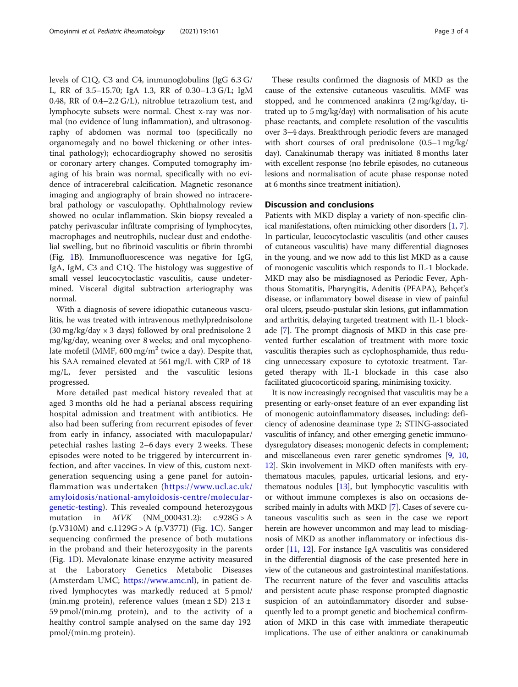levels of C1Q, C3 and C4, immunoglobulins (IgG 6.3 G/ L, RR of 3.5–15.70; IgA 1.3, RR of 0.30–1.3 G/L; IgM 0.48, RR of 0.4–2.2 G/L), nitroblue tetrazolium test, and lymphocyte subsets were normal. Chest x-ray was normal (no evidence of lung inflammation), and ultrasonography of abdomen was normal too (specifically no organomegaly and no bowel thickening or other intestinal pathology); echocardiography showed no serositis or coronary artery changes. Computed tomography imaging of his brain was normal, specifically with no evidence of intracerebral calcification. Magnetic resonance imaging and angiography of brain showed no intracerebral pathology or vasculopathy. Ophthalmology review showed no ocular inflammation. Skin biopsy revealed a patchy perivascular infiltrate comprising of lymphocytes, macrophages and neutrophils, nuclear dust and endothelial swelling, but no fibrinoid vasculitis or fibrin thrombi (Fig. [1](#page-1-0)B). Immunofluorescence was negative for IgG, IgA, IgM, C3 and C1Q. The histology was suggestive of small vessel leucocytoclastic vasculitis, cause undetermined. Visceral digital subtraction arteriography was normal.

With a diagnosis of severe idiopathic cutaneous vasculitis, he was treated with intravenous methylprednisolone  $(30 \text{ mg/kg/day} \times 3 \text{ days})$  followed by oral prednisolone 2 mg/kg/day, weaning over 8 weeks; and oral mycophenolate mofetil (MMF, 600 mg/m<sup>2</sup> twice a day). Despite that, his SAA remained elevated at 561 mg/L with CRP of 18 mg/L, fever persisted and the vasculitic lesions progressed.

More detailed past medical history revealed that at aged 3 months old he had a perianal abscess requiring hospital admission and treatment with antibiotics. He also had been suffering from recurrent episodes of fever from early in infancy, associated with maculopapular/ petechial rashes lasting 2–6 days every 2 weeks. These episodes were noted to be triggered by intercurrent infection, and after vaccines. In view of this, custom nextgeneration sequencing using a gene panel for autoinflammation was undertaken ([https://www.ucl.ac.uk/](https://www.ucl.ac.uk/amyloidosis/national-amyloidosis-centre/molecular-genetic-testing) [amyloidosis/national-amyloidosis-centre/molecular](https://www.ucl.ac.uk/amyloidosis/national-amyloidosis-centre/molecular-genetic-testing)[genetic-testing\)](https://www.ucl.ac.uk/amyloidosis/national-amyloidosis-centre/molecular-genetic-testing). This revealed compound heterozygous mutation in MVK (NM\_000431.2): c.928G > A (p.V310M) and c.1129G > A (p.V377I) (Fig. [1C](#page-1-0)). Sanger sequencing confirmed the presence of both mutations in the proband and their heterozygosity in the parents (Fig. [1D](#page-1-0)). Mevalonate kinase enzyme activity measured at the Laboratory Genetics Metabolic Diseases (Amsterdam UMC; <https://www.amc.nl>), in patient derived lymphocytes was markedly reduced at 5 pmol/ (min.mg protein), reference values (mean  $\pm$  SD) 213  $\pm$ 59 pmol/(min.mg protein), and to the activity of a healthy control sample analysed on the same day 192 pmol/(min.mg protein).

These results confirmed the diagnosis of MKD as the cause of the extensive cutaneous vasculitis. MMF was stopped, and he commenced anakinra (2 mg/kg/day, titrated up to 5 mg/kg/day) with normalisation of his acute phase reactants, and complete resolution of the vasculitis over 3–4 days. Breakthrough periodic fevers are managed with short courses of oral prednisolone (0.5–1 mg/kg/ day). Canakinumab therapy was initiated 8 months later with excellent response (no febrile episodes, no cutaneous lesions and normalisation of acute phase response noted at 6 months since treatment initiation).

# Discussion and conclusions

Patients with MKD display a variety of non-specific clinical manifestations, often mimicking other disorders [[1,](#page-3-0) [7](#page-3-0)]. In particular, leucocytoclastic vasculitis (and other causes of cutaneous vasculitis) have many differential diagnoses in the young, and we now add to this list MKD as a cause of monogenic vasculitis which responds to IL-1 blockade. MKD may also be misdiagnosed as Periodic Fever, Aphthous Stomatitis, Pharyngitis, Adenitis (PFAPA), Behçet's disease, or inflammatory bowel disease in view of painful oral ulcers, pseudo-pustular skin lesions, gut inflammation and arthritis, delaying targeted treatment with IL-1 blockade [\[7](#page-3-0)]. The prompt diagnosis of MKD in this case prevented further escalation of treatment with more toxic vasculitis therapies such as cyclophosphamide, thus reducing unnecessary exposure to cytotoxic treatment. Targeted therapy with IL-1 blockade in this case also facilitated glucocorticoid sparing, minimising toxicity.

It is now increasingly recognised that vasculitis may be a presenting or early-onset feature of an ever expanding list of monogenic autoinflammatory diseases, including: deficiency of adenosine deaminase type 2; STING-associated vasculitis of infancy; and other emerging genetic immunodysregulatory diseases; monogenic defects in complement; and miscellaneous even rarer genetic syndromes [\[9](#page-3-0), [10](#page-3-0), [12](#page-3-0)]. Skin involvement in MKD often manifests with erythematous macules, papules, urticarial lesions, and erythematous nodules [\[13\]](#page-3-0), but lymphocytic vasculitis with or without immune complexes is also on occasions described mainly in adults with MKD [\[7](#page-3-0)]. Cases of severe cutaneous vasculitis such as seen in the case we report herein are however uncommon and may lead to misdiagnosis of MKD as another inflammatory or infectious disorder [[11](#page-3-0), [12\]](#page-3-0). For instance IgA vasculitis was considered in the differential diagnosis of the case presented here in view of the cutaneous and gastrointestinal manifestations. The recurrent nature of the fever and vasculitis attacks and persistent acute phase response prompted diagnostic suspicion of an autoinflammatory disorder and subsequently led to a prompt genetic and biochemical confirmation of MKD in this case with immediate therapeutic implications. The use of either anakinra or canakinumab